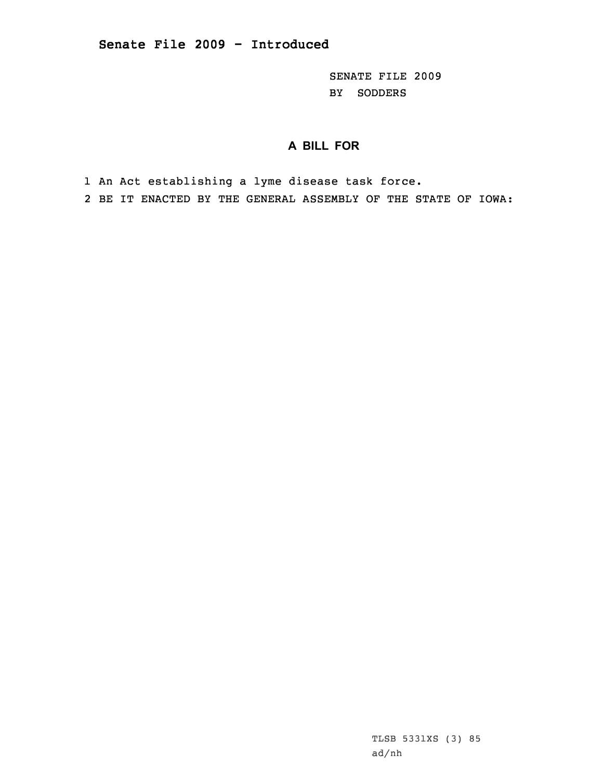SENATE FILE 2009 BY SODDERS

## **A BILL FOR**

1 An Act establishing <sup>a</sup> lyme disease task force.

2 BE IT ENACTED BY THE GENERAL ASSEMBLY OF THE STATE OF IOWA:

TLSB 5331XS (3) 85 ad/nh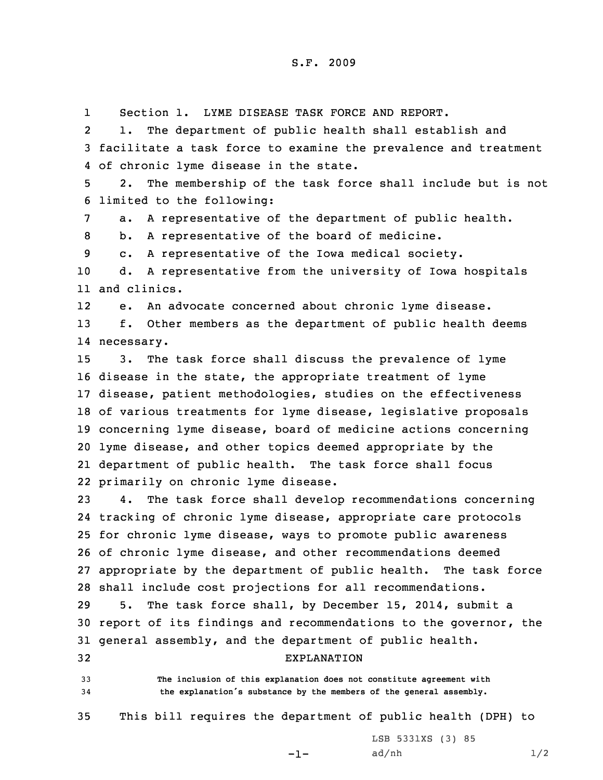1Section 1. LYME DISEASE TASK FORCE AND REPORT.

2 1. The department of public health shall establish and 3 facilitate <sup>a</sup> task force to examine the prevalence and treatment 4 of chronic lyme disease in the state.

5 2. The membership of the task force shall include but is not 6 limited to the following:

7 a. <sup>A</sup> representative of the department of public health.

8 b. <sup>A</sup> representative of the board of medicine.

9 c. <sup>A</sup> representative of the Iowa medical society.

10 d. <sup>A</sup> representative from the university of Iowa hospitals 11 and clinics.

12e. An advocate concerned about chronic lyme disease.

13 f. Other members as the department of public health deems 14 necessary.

 3. The task force shall discuss the prevalence of lyme disease in the state, the appropriate treatment of lyme disease, patient methodologies, studies on the effectiveness of various treatments for lyme disease, legislative proposals concerning lyme disease, board of medicine actions concerning lyme disease, and other topics deemed appropriate by the department of public health. The task force shall focus primarily on chronic lyme disease.

 4. The task force shall develop recommendations concerning tracking of chronic lyme disease, appropriate care protocols for chronic lyme disease, ways to promote public awareness of chronic lyme disease, and other recommendations deemed appropriate by the department of public health. The task force shall include cost projections for all recommendations.

29 5. The task force shall, by December 15, 2014, submit <sup>a</sup> 30 report of its findings and recommendations to the governor, the 31 general assembly, and the department of public health.

32 EXPLANATION

33 **The inclusion of this explanation does not constitute agreement with** <sup>34</sup> **the explanation's substance by the members of the general assembly.**

35 This bill requires the department of public health (DPH) to

-1-

LSB 5331XS (3) 85  $ad/nh$   $1/2$